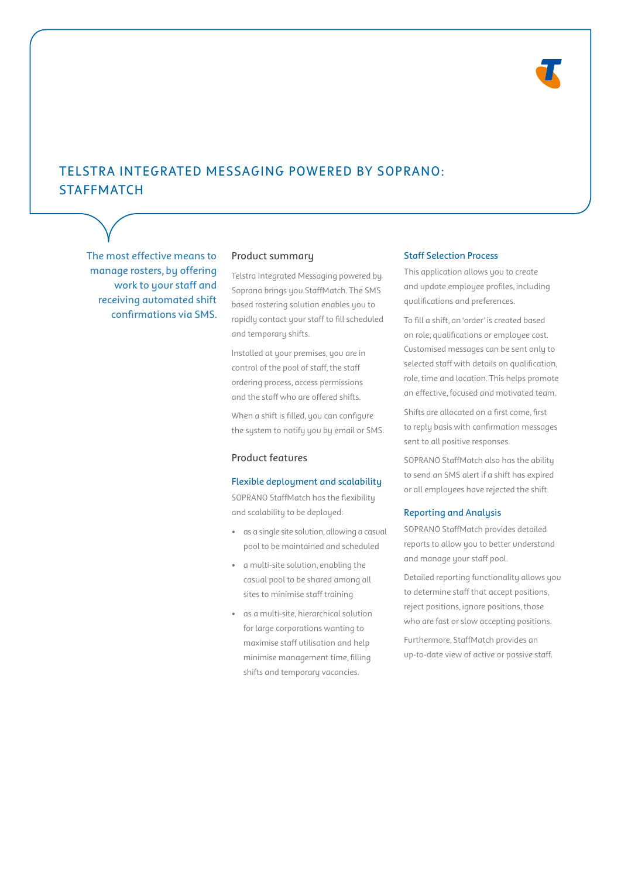

# TELSTRA INTEGRATED MESSAGING POWERED BY SOPRANO: **STAFFMATCH**

The most effective means to manage rosters, by offering work to your staff and receiving automated shift confirmations via SMS.

# Product summary

Telstra Integrated Messaging powered by Soprano brings you StaffMatch. The SMS based rostering solution enables you to rapidly contact your staff to fill scheduled and temporary shifts.

Installed at your premises, you are in control of the pool of staff, the staff ordering process, access permissions and the staff who are offered shifts.

When a shift is filled, you can configure the system to notify you by email or SMS.

## Product features

#### Flexible deployment and scalability

SOPRANO StaffMatch has the flexibility and scalability to be deployed:

- as a single site solution, allowing a casual pool to be maintained and scheduled
- a multi-site solution, enabling the casual pool to be shared among all sites to minimise staff training
- as a multi-site, hierarchical solution for large corporations wanting to maximise staff utilisation and help minimise management time, filling shifts and temporary vacancies.

## Staff Selection Process

This application allows you to create and update employee profiles, including qualifications and preferences.

To fill a shift, an 'order' is created based on role, qualifications or employee cost. Customised messages can be sent only to selected staff with details on qualification, role, time and location. This helps promote an effective, focused and motivated team.

Shifts are allocated on a first come, first to reply basis with confirmation messages sent to all positive responses.

SOPRANO StaffMatch also has the ability to send an SMS alert if a shift has expired or all employees have rejected the shift.

#### Reporting and Analysis

SOPRANO StaffMatch provides detailed reports to allow you to better understand and manage your staff pool.

Detailed reporting functionality allows you to determine staff that accept positions, reject positions, ignore positions, those who are fast or slow accepting positions.

Furthermore, StaffMatch provides an up-to-date view of active or passive staff.